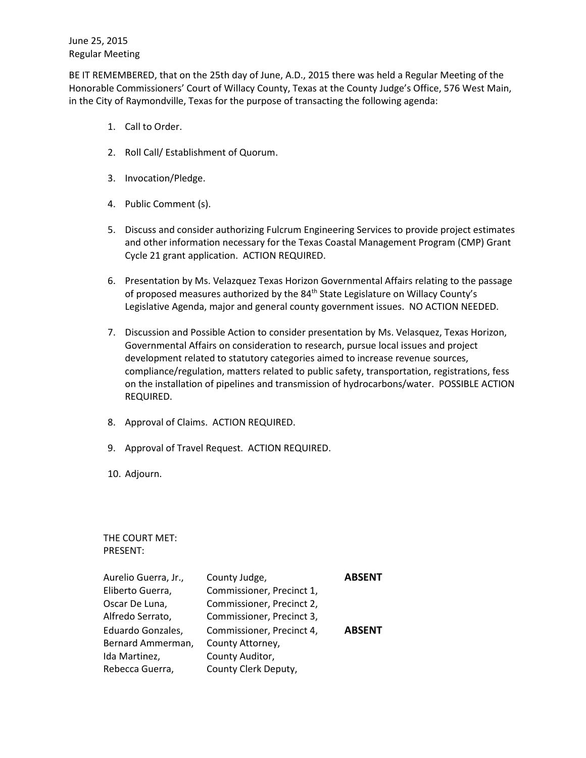June 25, 2015 Regular Meeting

BE IT REMEMBERED, that on the 25th day of June, A.D., 2015 there was held a Regular Meeting of the Honorable Commissioners' Court of Willacy County, Texas at the County Judge's Office, 576 West Main, in the City of Raymondville, Texas for the purpose of transacting the following agenda:

- 1. Call to Order.
- 2. Roll Call/ Establishment of Quorum.
- 3. Invocation/Pledge.
- 4. Public Comment (s).
- 5. Discuss and consider authorizing Fulcrum Engineering Services to provide project estimates and other information necessary for the Texas Coastal Management Program (CMP) Grant Cycle 21 grant application. ACTION REQUIRED.
- 6. Presentation by Ms. Velazquez Texas Horizon Governmental Affairs relating to the passage of proposed measures authorized by the 84<sup>th</sup> State Legislature on Willacy County's Legislative Agenda, major and general county government issues. NO ACTION NEEDED.
- 7. Discussion and Possible Action to consider presentation by Ms. Velasquez, Texas Horizon, Governmental Affairs on consideration to research, pursue local issues and project development related to statutory categories aimed to increase revenue sources, compliance/regulation, matters related to public safety, transportation, registrations, fess on the installation of pipelines and transmission of hydrocarbons/water. POSSIBLE ACTION REQUIRED.
- 8. Approval of Claims. ACTION REQUIRED.
- 9. Approval of Travel Request. ACTION REQUIRED.
- 10. Adjourn.

THE COURT MET: PRESENT:

| Aurelio Guerra, Jr., | County Judge,             | <b>ABSENT</b> |
|----------------------|---------------------------|---------------|
| Eliberto Guerra,     | Commissioner, Precinct 1, |               |
| Oscar De Luna,       | Commissioner, Precinct 2, |               |
| Alfredo Serrato,     | Commissioner, Precinct 3, |               |
| Eduardo Gonzales,    | Commissioner, Precinct 4, | <b>ABSENT</b> |
| Bernard Ammerman,    | County Attorney,          |               |
| Ida Martinez,        | County Auditor,           |               |
| Rebecca Guerra,      | County Clerk Deputy,      |               |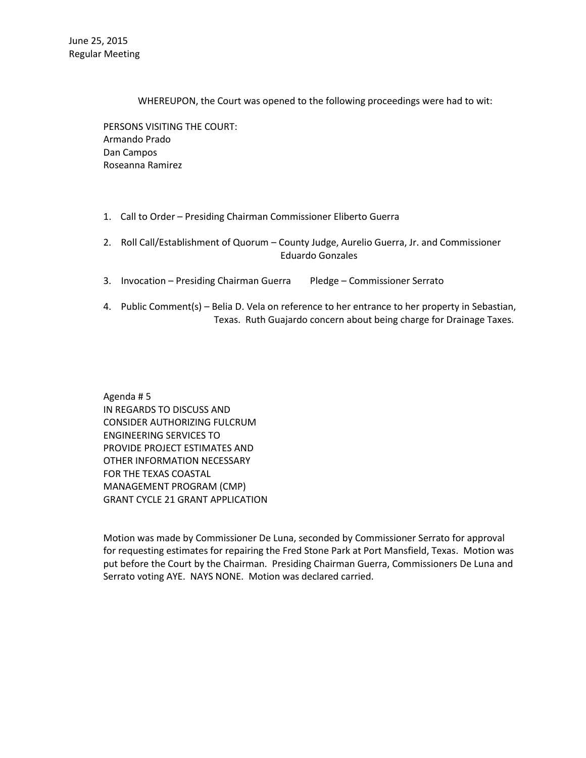WHEREUPON, the Court was opened to the following proceedings were had to wit:

PERSONS VISITING THE COURT: Armando Prado Dan Campos Roseanna Ramirez

- 1. Call to Order Presiding Chairman Commissioner Eliberto Guerra
- 2. Roll Call/Establishment of Quorum County Judge, Aurelio Guerra, Jr. and Commissioner Eduardo Gonzales
- 3. Invocation Presiding Chairman Guerra Pledge Commissioner Serrato
- 4. Public Comment(s) Belia D. Vela on reference to her entrance to her property in Sebastian, Texas. Ruth Guajardo concern about being charge for Drainage Taxes.

Agenda # 5 IN REGARDS TO DISCUSS AND CONSIDER AUTHORIZING FULCRUM ENGINEERING SERVICES TO PROVIDE PROJECT ESTIMATES AND OTHER INFORMATION NECESSARY FOR THE TEXAS COASTAL MANAGEMENT PROGRAM (CMP) GRANT CYCLE 21 GRANT APPLICATION

Motion was made by Commissioner De Luna, seconded by Commissioner Serrato for approval for requesting estimates for repairing the Fred Stone Park at Port Mansfield, Texas. Motion was put before the Court by the Chairman. Presiding Chairman Guerra, Commissioners De Luna and Serrato voting AYE. NAYS NONE. Motion was declared carried.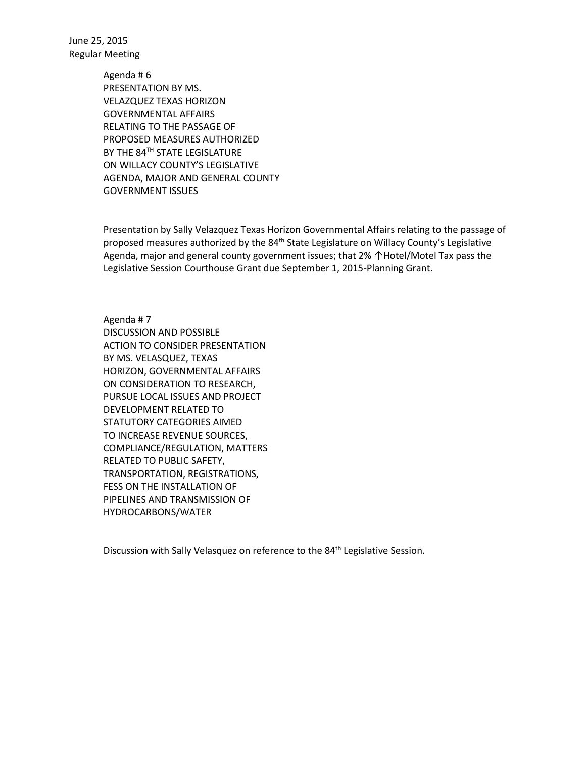June 25, 2015 Regular Meeting

> Agenda # 6 PRESENTATION BY MS. VELAZQUEZ TEXAS HORIZON GOVERNMENTAL AFFAIRS RELATING TO THE PASSAGE OF PROPOSED MEASURES AUTHORIZED BY THE 84TH STATE LEGISLATURE ON WILLACY COUNTY'S LEGISLATIVE AGENDA, MAJOR AND GENERAL COUNTY GOVERNMENT ISSUES

Presentation by Sally Velazquez Texas Horizon Governmental Affairs relating to the passage of proposed measures authorized by the 84<sup>th</sup> State Legislature on Willacy County's Legislative Agenda, major and general county government issues; that 2% ↑Hotel/Motel Tax pass the Legislative Session Courthouse Grant due September 1, 2015-Planning Grant.

Agenda # 7 DISCUSSION AND POSSIBLE ACTION TO CONSIDER PRESENTATION BY MS. VELASQUEZ, TEXAS HORIZON, GOVERNMENTAL AFFAIRS ON CONSIDERATION TO RESEARCH, PURSUE LOCAL ISSUES AND PROJECT DEVELOPMENT RELATED TO STATUTORY CATEGORIES AIMED TO INCREASE REVENUE SOURCES, COMPLIANCE/REGULATION, MATTERS RELATED TO PUBLIC SAFETY, TRANSPORTATION, REGISTRATIONS, FESS ON THE INSTALLATION OF PIPELINES AND TRANSMISSION OF HYDROCARBONS/WATER

Discussion with Sally Velasquez on reference to the 84<sup>th</sup> Legislative Session.